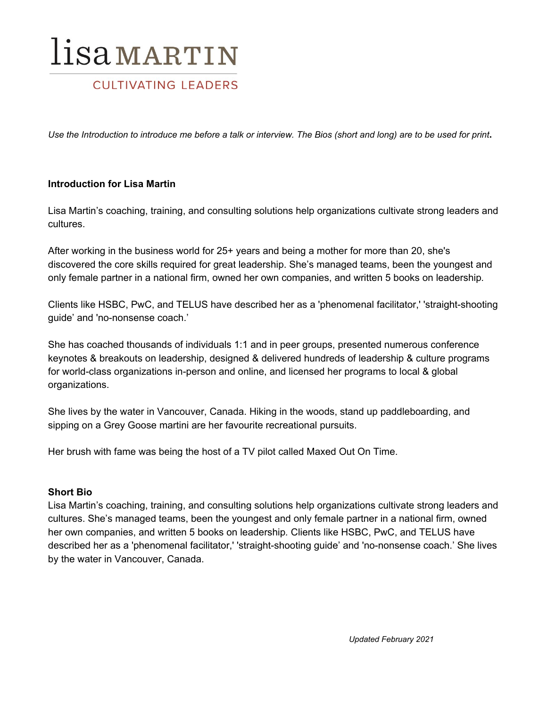## lisamartin

## **CULTIVATING LEADERS**

Use the Introduction to introduce me before a talk or interview. The Bios (short and long) are to be used for print.

#### **Introduction for Lisa Martin**

Lisa Martin's coaching, training, and consulting solutions help organizations cultivate strong leaders and cultures.

After working in the business world for 25+ years and being a mother for more than 20, she's discovered the core skills required for great leadership. She's managed teams, been the youngest and only female partner in a national firm, owned her own companies, and written 5 books on leadership*.*

Clients like HSBC, PwC, and TELUS have described her as a 'phenomenal facilitator,' 'straight-shooting guide' and 'no-nonsense coach.'

She has coached thousands of individuals 1:1 and in peer groups, presented numerous conference keynotes & breakouts on leadership, designed & delivered hundreds of leadership & culture programs for world-class organizations in-person and online, and licensed her programs to local & global organizations.

She lives by the water in Vancouver, Canada. Hiking in the woods, stand up paddleboarding, and sipping on a Grey Goose martini are her favourite recreational pursuits.

Her brush with fame was being the host of a TV pilot called Maxed Out On Time.

#### **Short Bio**

Lisa Martin's coaching, training, and consulting solutions help organizations cultivate strong leaders and cultures. She's managed teams, been the youngest and only female partner in a national firm, owned her own companies, and written 5 books on leadership*.* Clients like HSBC, PwC, and TELUS have described her as a 'phenomenal facilitator,' 'straight-shooting guide' and 'no-nonsense coach.' She lives by the water in Vancouver, Canada.